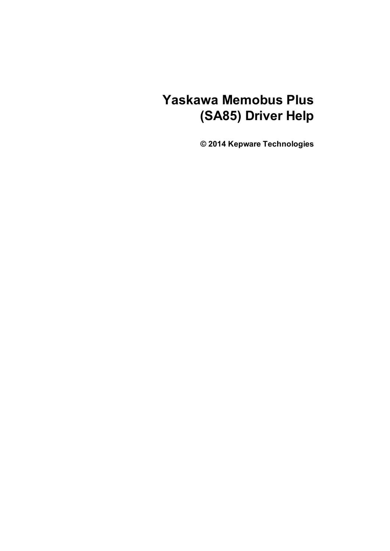# **Yaskawa Memobus Plus (SA85) Driver Help**

**© 2014 Kepware Technologies**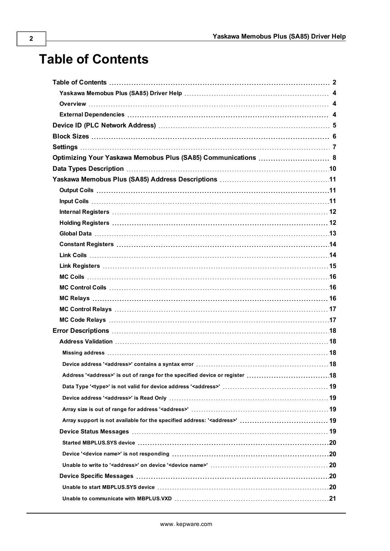# <span id="page-1-0"></span>**Table of Contents**

| Optimizing Your Yaskawa Memobus Plus (SA85) Communications  8                                                                                                                                                                  |  |
|--------------------------------------------------------------------------------------------------------------------------------------------------------------------------------------------------------------------------------|--|
|                                                                                                                                                                                                                                |  |
|                                                                                                                                                                                                                                |  |
|                                                                                                                                                                                                                                |  |
|                                                                                                                                                                                                                                |  |
| Internal Registers (and according to the control of the control of the control of the control of the control of the control of the control of the control of the control of the control of the control of the control of the c |  |
|                                                                                                                                                                                                                                |  |
|                                                                                                                                                                                                                                |  |
|                                                                                                                                                                                                                                |  |
|                                                                                                                                                                                                                                |  |
|                                                                                                                                                                                                                                |  |
|                                                                                                                                                                                                                                |  |
|                                                                                                                                                                                                                                |  |
|                                                                                                                                                                                                                                |  |
|                                                                                                                                                                                                                                |  |
|                                                                                                                                                                                                                                |  |
|                                                                                                                                                                                                                                |  |
|                                                                                                                                                                                                                                |  |
|                                                                                                                                                                                                                                |  |
|                                                                                                                                                                                                                                |  |
|                                                                                                                                                                                                                                |  |
|                                                                                                                                                                                                                                |  |
|                                                                                                                                                                                                                                |  |
|                                                                                                                                                                                                                                |  |
|                                                                                                                                                                                                                                |  |
|                                                                                                                                                                                                                                |  |
|                                                                                                                                                                                                                                |  |
|                                                                                                                                                                                                                                |  |
|                                                                                                                                                                                                                                |  |
|                                                                                                                                                                                                                                |  |
|                                                                                                                                                                                                                                |  |
|                                                                                                                                                                                                                                |  |
|                                                                                                                                                                                                                                |  |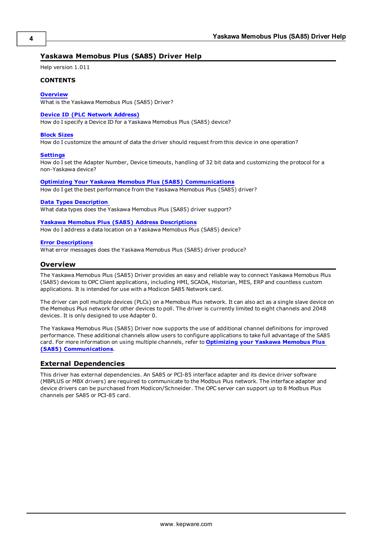# <span id="page-3-0"></span>**Yaskawa Memobus Plus (SA85) Driver Help**

Help version 1.011

#### **CONTENTS**

#### **[Overview](#page-3-1)**

What is the Yaskawa Memobus Plus (SA85) Driver?

#### **Device ID (PLC Network [Address\)](#page-4-0)**

How do I specify a Device ID for a Yaskawa Memobus Plus (SA85) device?

#### **[Block](#page-5-0) Sizes**

How do I customize the amount of data the driver should request from this device in one operation?

#### **[Settings](#page-6-0)**

How do I set the Adapter Number, Device timeouts, handling of 32 bit data and customizing the protocol for a non-Yaskawa device?

#### **Optimizing Your Yaskawa Memobus Plus (SA85) [Communications](#page-7-0)**

How do I get the best performance from the Yaskawa Memobus Plus (SA85) driver?

#### **Data Types [Description](#page-9-0)**

What data types does the Yaskawa Memobus Plus (SA85) driver support?

#### **Yaskawa Memobus Plus (SA85) Address [Descriptions](#page-10-0)**

How do I address a data location on a Yaskawa Memobus Plus (SA85) device?

#### **Error [Descriptions](#page-17-0)**

<span id="page-3-1"></span>What error messages does the Yaskawa Memobus Plus (SA85) driver produce?

# **Overview**

The Yaskawa Memobus Plus (SA85) Driver provides an easy and reliable way to connect Yaskawa Memobus Plus (SA85) devices to OPC Client applications, including HMI, SCADA, Historian, MES, ERP and countless custom applications. It is intended for use with a Modicon SA85 Network card.

The driver can poll multiple devices (PLCs) on a Memobus Plus network. It can also act as a single slave device on the Memobus Plus network for other devices to poll. The driver is currently limited to eight channels and 2048 devices. It is only designed to use Adapter 0.

The Yaskawa Memobus Plus (SA85) Driver now supports the use of additional channel definitions for improved performance. These additional channels allow users to configure applications to take full advantage of the SA85 card. For more information on using multiple channels, refer to **Optimizing your Yaskawa Memobus Plus (SA85) [Communications](#page-7-0)**.

# <span id="page-3-2"></span>**External Dependencies**

This driver has external dependencies. An SA85 or PCI-85 interface adapter and its device driver software (MBPLUS or MBX drivers) are required to communicate to the Modbus Plus network. The interface adapter and device drivers can be purchased from Modicon/Schneider. The OPC server can support up to 8 Modbus Plus channels per SA85 or PCI-85 card.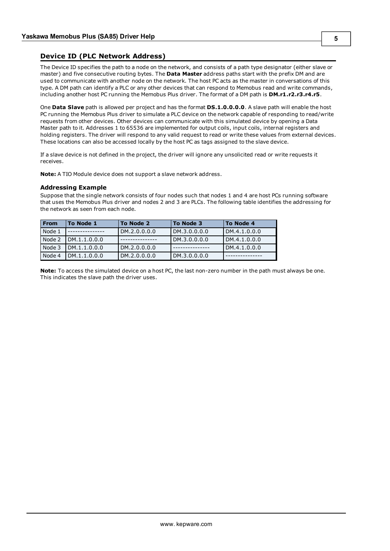# <span id="page-4-0"></span>**Device ID (PLC Network Address)**

The Device ID specifies the path to a node on the network, and consists of a path type designator (either slave or master) and five consecutive routing bytes. The **Data Master** address paths start with the prefix DM and are used to communicate with another node on the network. The host PC acts as the master in conversations of this type. A DM path can identify a PLC or any other devices that can respond to Memobus read and write commands, including another host PC running the Memobus Plus driver. The format of a DM path is **DM.r1.r2.r3.r4.r5**.

One **Data Slave** path is allowed per project and has the format **DS.1.0.0.0.0**. A slave path will enable the host PC running the Memobus Plus driver to simulate a PLC device on the network capable of responding to read/write requests from other devices. Other devices can communicate with this simulated device by opening a Data Master path to it. Addresses 1 to 65536 are implemented for output coils, input coils, internal registers and holding registers. The driver will respond to any valid request to read or write these values from external devices. These locations can also be accessed locally by the host PC as tags assigned to the slave device.

If a slave device is not defined in the project, the driver will ignore any unsolicited read or write requests it receives.

**Note:** A TIO Module device does not support a slave network address.

#### **Addressing Example**

Suppose that the single network consists of four nodes such that nodes 1 and 4 are host PCs running software that uses the Memobus Plus driver and nodes 2 and 3 are PLCs. The following table identifies the addressing for the network as seen from each node.

| <b>From</b> | To Node 1     | To Node 2    | To Node 3     | To Node 4    |
|-------------|---------------|--------------|---------------|--------------|
| Node 1      |               | DM.2.0.0.0.0 | IDM.3.0.0.0.0 | DM.4.1.0.0.0 |
| Node 2      | LDM.1.1.0.0.0 |              | DM.3.0.0.0.0  | DM.4.1.0.0.0 |
| Node 3      | LDM.1.1.0.0.0 | DM.2.0.0.0.0 |               | DM.4.1.0.0.0 |
| Node 4      | DM.1.1.0.0.0  | DM.2.0.0.0.0 | DM.3.0.0.0.0  |              |

**Note:** To access the simulated device on a host PC, the last non-zero number in the path must always be one. This indicates the slave path the driver uses.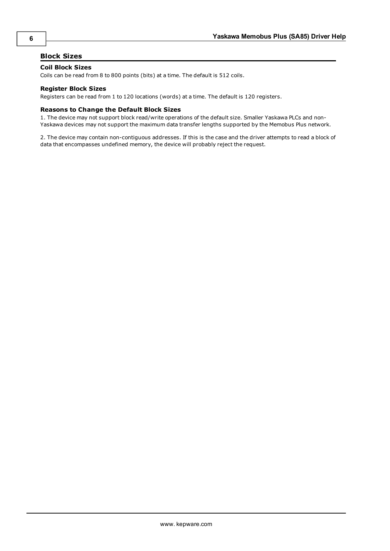# <span id="page-5-0"></span>**Block Sizes**

# **Coil Block Sizes**

Coils can be read from 8 to 800 points (bits) at a time. The default is 512 coils.

# **Register Block Sizes**

Registers can be read from 1 to 120 locations (words) at a time. The default is 120 registers.

# **Reasons to Change the Default Block Sizes**

1. The device may not support block read/write operations of the default size. Smaller Yaskawa PLCs and non-Yaskawa devices may not support the maximum data transfer lengths supported by the Memobus Plus network.

2. The device may contain non-contiguous addresses. If this is the case and the driver attempts to read a block of data that encompasses undefined memory, the device will probably reject the request.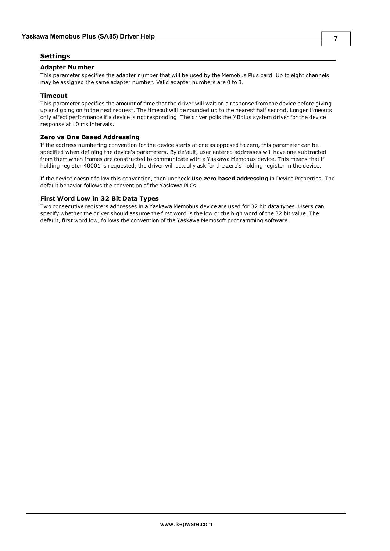# <span id="page-6-0"></span>**Settings**

#### **Adapter Number**

This parameter specifies the adapter number that will be used by the Memobus Plus card. Up to eight channels may be assigned the same adapter number. Valid adapter numbers are 0 to 3.

# **Timeout**

This parameter specifies the amount of time that the driver will wait on a response from the device before giving up and going on to the next request. The timeout will be rounded up to the nearest half second. Longer timeouts only affect performance if a device is not responding. The driver polls the MBplus system driver for the device response at 10 ms intervals.

#### **Zero vs One Based Addressing**

If the address numbering convention for the device starts at one as opposed to zero, this parameter can be specified when defining the device's parameters. By default, user entered addresses will have one subtracted from them when frames are constructed to communicate with a Yaskawa Memobus device. This means that if holding register 40001 is requested, the driver will actually ask for the zero's holding register in the device.

If the device doesn't follow this convention, then uncheck **Use zero based addressing** in Device Properties. The default behavior follows the convention of the Yaskawa PLCs.

## **First Word Low in 32 Bit Data Types**

Two consecutive registers addresses in a Yaskawa Memobus device are used for 32 bit data types. Users can specify whether the driver should assume the first word is the low or the high word of the 32 bit value. The default, first word low, follows the convention of the Yaskawa Memosoft programming software.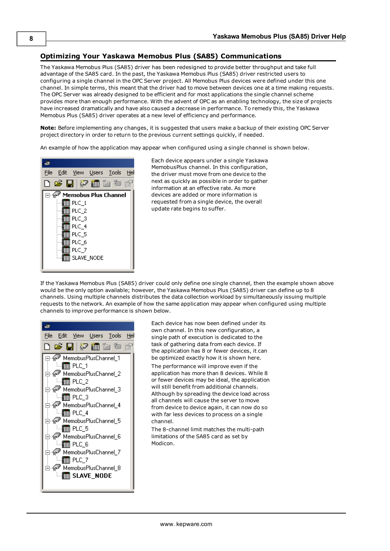# <span id="page-7-0"></span>**Optimizing Your Yaskawa Memobus Plus (SA85) Communications**

The Yaskawa Memobus Plus (SA85) driver has been redesigned to provide better throughput and take full advantage of the SA85 card. In the past, the Yaskawa Memobus Plus (SA85) driver restricted users to configuring a single channel in the OPC Server project. All Memobus Plus devices were defined under this one channel. In simple terms, this meant that the driver had to move between devices one at a time making requests. The OPC Server was already designed to be efficient and for most applications the single channel scheme provides more than enough performance. With the advent of OPC as an enabling technology, the size of projects have increased dramatically and have also caused a decrease in performance. To remedy this, the Yaskawa Memobus Plus (SA85) driver operates at a new level of efficiency and performance.

**Note:** Before implementing any changes, it is suggested that users make a backup of their existing OPC Server project directory in order to return to the previous current settings quickly, if needed.

An example of how the application may appear when configured using a single channel is shown below.



Each device appears under a single Yaskawa MemobusPlus channel. In this configuration, the driver must move from one device to the next as quickly as possible in order to gather information at an effective rate. As more devices are added or more information is requested from a single device, the overall update rate begins to suffer.

If the Yaskawa Memobus Plus (SA85) driver could only define one single channel, then the example shown above would be the only option available; however, the Yaskawa Memobus Plus (SA85) driver can define up to 8 channels. Using multiple channels distributes the data collection workload by simultaneously issuing multiple requests to the network. An example of how the same application may appear when configured using multiple channels to improve performance is shown below.



Each device has now been defined under its own channel. In this new configuration, a single path of execution is dedicated to the task of gathering data from each device. If the application has 8 or fewer devices, it can be optimized exactly how it is shown here. The performance will improve even if the application has more than 8 devices. While 8 or fewer devices may be ideal, the application will still benefit from additional channels. Although by spreading the device load across all channels will cause the server to move from device to device again, it can now do so with far less devices to process on a single channel.

The 8-channel limit matches the multi-path limitations of the SA85 card as set by Modicon.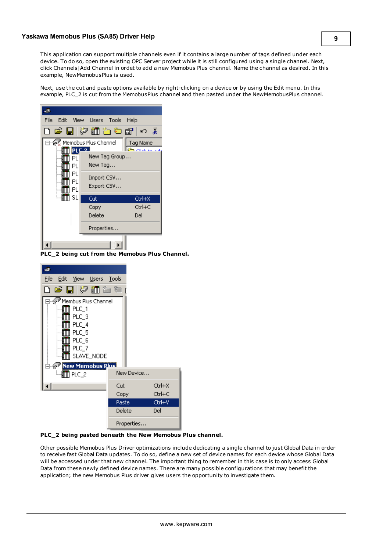This application can support multiple channels even if it contains a large number of tags defined under each device. To do so, open the existing OPC Server project while it is still configured using a single channel. Next, click Channels|Add Channel in ordet to add a new Memobus Plus channel. Name the channel as desired. In this example, NewMemobusPlus is used.

Next, use the cut and paste options available by right-clicking on a device or by using the Edit menu. In this example, PLC\_2 is cut from the MemobusPlus channel and then pasted under the NewMemobusPlus channel.



**PLC\_2 being cut from the Memobus Plus Channel.**



**PLC\_2 being pasted beneath the New Memobus Plus channel.**

Other possible Memobus Plus Driver optimizations include dedicating a single channel to just Global Data in order to receive fast Global Data updates. To do so, define a new set of device names for each device whose Global Data will be accessed under that new channel. The important thing to remember in this case is to only access Global Data from these newly defined device names. There are many possible configurations that may benefit the application; the new Memobus Plus driver gives users the opportunity to investigate them.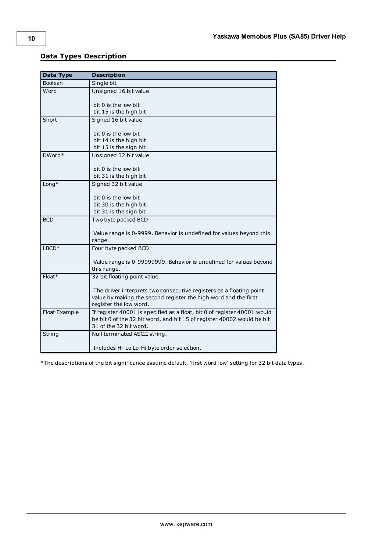<span id="page-9-8"></span><span id="page-9-7"></span><span id="page-9-6"></span><span id="page-9-3"></span><span id="page-9-2"></span><span id="page-9-1"></span>

| Data Type     | <b>Description</b>                                                                |
|---------------|-----------------------------------------------------------------------------------|
| Boolean       | Single bit                                                                        |
| Word          | Unsigned 16 bit value                                                             |
|               | bit 0 is the low bit                                                              |
|               | bit 15 is the high bit                                                            |
| Short         | Signed 16 bit value                                                               |
|               | bit 0 is the low bit                                                              |
|               | bit 14 is the high bit                                                            |
|               | bit 15 is the sign bit                                                            |
| DWord*        | Unsigned 32 bit value                                                             |
|               | bit 0 is the low bit                                                              |
|               | bit 31 is the high bit                                                            |
| $Long*$       | Signed 32 bit value                                                               |
|               |                                                                                   |
|               | bit 0 is the low bit                                                              |
|               | bit 30 is the high bit                                                            |
|               | bit 31 is the sign bit                                                            |
| <b>BCD</b>    | Two byte packed BCD                                                               |
|               |                                                                                   |
|               | Value range is 0-9999. Behavior is undefined for values beyond this               |
|               | range.                                                                            |
| $LBCD*$       | Four byte packed BCD                                                              |
|               |                                                                                   |
|               | Value range is 0-99999999. Behavior is undefined for values beyond<br>this range. |
| Float*        | 32 bit floating point value.                                                      |
|               |                                                                                   |
|               | The driver interprets two consecutive registers as a floating point               |
|               | value by making the second register the high word and the first                   |
|               | register the low word.                                                            |
| Float Example | If register 40001 is specified as a float, bit 0 of register 40001 would          |
|               | be bit 0 of the 32 bit word, and bit 15 of register 40002 would be bit            |
|               | 31 of the 32 bit word.                                                            |
| String        | Null terminated ASCII string.                                                     |
|               |                                                                                   |
|               | Includes Hi-Lo Lo-Hi byte order selection.                                        |

# <span id="page-9-0"></span>**Data Types Description**

<span id="page-9-5"></span><span id="page-9-4"></span>\*The descriptions of the bit significance assume default, 'first word low' setting for 32 bit data types.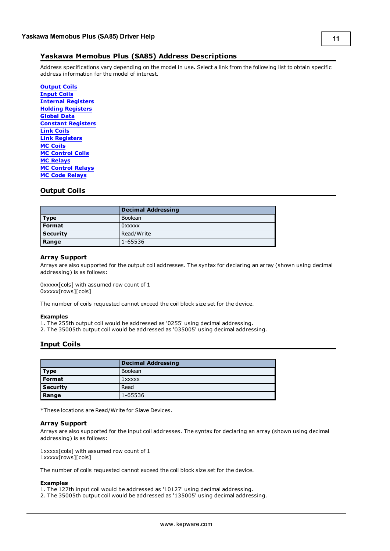<span id="page-10-0"></span>Address specifications vary depending on the model in use. Select a link from the following list to obtain specific address information for the model of interest.

**[Output](#page-10-1) Coils [Input](#page-10-2) Coils Internal [Registers](#page-11-0) Holding [Registers](#page-11-1) [Global](#page-12-0) Data Constant [Registers](#page-13-0) Link [Coils](#page-13-1) Link [Registers](#page-14-0) MC [Coils](#page-15-0) MC [Control](#page-15-1) Coils MC [Relays](#page-15-2) MC [Control](#page-16-0) Relays MC Code [Relays](#page-16-0)**

# <span id="page-10-1"></span>**Output Coils**

|                 | <b>Decimal Addressing</b> |
|-----------------|---------------------------|
| Type            | Boolean                   |
| l Format        | <b>OXXXXX</b>             |
| <b>Security</b> | Read/Write                |
| Range           | 1-65536                   |

# **Array Support**

Arrays are also supported for the output coil addresses. The syntax for declaring an array (shown using decimal addressing) is as follows:

0xxxxx[cols] with assumed row count of 1 0xxxxx[rows][cols]

The number of coils requested cannot exceed the coil block size set for the device.

#### **Examples**

- 1. The 255th output coil would be addressed as '0255' using decimal addressing.
- <span id="page-10-2"></span>2. The 35005th output coil would be addressed as '035005' using decimal addressing.

# **Input Coils**

|                 | <b>Decimal Addressing</b> |
|-----------------|---------------------------|
| <b>Type</b>     | Boolean                   |
| Format          | 1xxxxx                    |
| <b>Security</b> | Read                      |
| Range           | 1-65536                   |

\*These locations are Read/Write for Slave Devices.

#### **Array Support**

Arrays are also supported for the input coil addresses. The syntax for declaring an array (shown using decimal addressing) is as follows:

1xxxxx[cols] with assumed row count of 1 1xxxxx[rows][cols]

The number of coils requested cannot exceed the coil block size set for the device.

# **Examples**

- 1. The 127th input coil would be addressed as '10127' using decimal addressing.
- 2. The 35005th output coil would be addressed as '135005' using decimal addressing.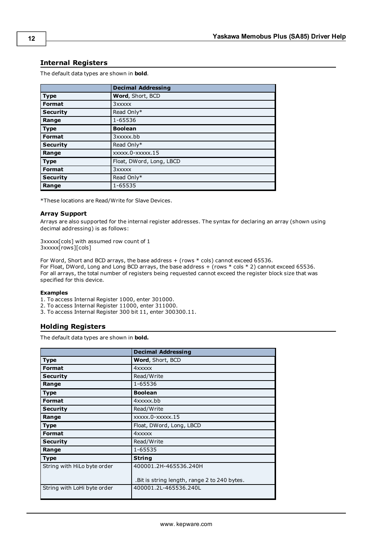# <span id="page-11-0"></span>**Internal Registers**

The default data types are shown in **bold**.

|                 | <b>Decimal Addressing</b> |
|-----------------|---------------------------|
| <b>Type</b>     | Word, Short, BCD          |
| <b>Format</b>   | 3xxxxx                    |
| <b>Security</b> | Read Only*                |
| Range           | 1-65536                   |
| <b>Type</b>     | <b>Boolean</b>            |
| <b>Format</b>   | 3xxxxx.bb                 |
| <b>Security</b> | Read Only*                |
| Range           | xxxxx.0-xxxxx.15          |
| <b>Type</b>     | Float, DWord, Long, LBCD  |
| <b>Format</b>   | 3xxxxx                    |
| <b>Security</b> | Read Only*                |
| Range           | 1-65535                   |

\*These locations are Read/Write for Slave Devices.

# **Array Support**

Arrays are also supported for the internal register addresses. The syntax for declaring an array (shown using decimal addressing) is as follows:

3xxxxx[cols] with assumed row count of 1 3xxxxx[rows][cols]

For Word, Short and BCD arrays, the base address  $+$  (rows  $*$  cols) cannot exceed 65536. For Float, DWord, Long and Long BCD arrays, the base address + (rows \* cols \* 2) cannot exceed 65536. For all arrays, the total number of registers being requested cannot exceed the register block size that was specified for this device.

#### **Examples**

- 1. To access Internal Register 1000, enter 301000.
- 2. To access Internal Register 11000, enter 311000.
- <span id="page-11-1"></span>3. To access Internal Register 300 bit 11, enter 300300.11.

# **Holding Registers**

The default data types are shown in **bold.**

<span id="page-11-2"></span>

|                             | <b>Decimal Addressing</b>                    |
|-----------------------------|----------------------------------------------|
| <b>Type</b>                 | Word, Short, BCD                             |
| <b>Format</b>               | 4xxxxx                                       |
| <b>Security</b>             | Read/Write                                   |
| Range                       | 1-65536                                      |
| Type                        | <b>Boolean</b>                               |
| <b>Format</b>               | 4xxxxx.bb                                    |
| <b>Security</b>             | Read/Write                                   |
| Range                       | $xxxx.0$ - $xxxx.15$                         |
| <b>Type</b>                 | Float, DWord, Long, LBCD                     |
| <b>Format</b>               | 4xxxxx                                       |
| <b>Security</b>             | Read/Write                                   |
| Range                       | 1-65535                                      |
| <b>Type</b>                 | <b>String</b>                                |
| String with HiLo byte order | 400001.2H-465536.240H                        |
|                             | .Bit is string length, range 2 to 240 bytes. |
| String with LoHi byte order | 400001.2L-465536.240L                        |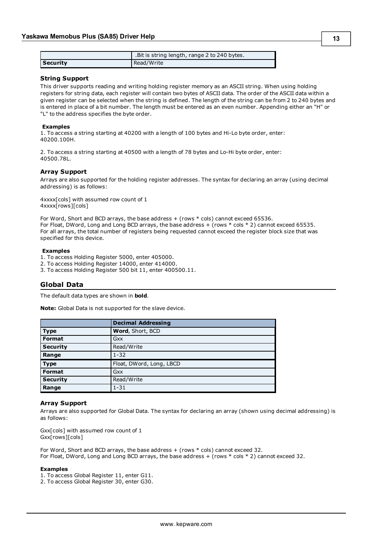|          | Bit is string length, range 2 to 240 bytes. |
|----------|---------------------------------------------|
| Security | Read/Write                                  |

#### **String Support**

This driver supports reading and writing holding register memory as an ASCII string. When using holding registers for string data, each register will contain two bytes of ASCII data. The order of the ASCII data within a given register can be selected when the string is defined. The length of the string can be from 2 to 240 bytes and is entered in place of a bit number. The length must be entered as an even number. Appending either an "H" or "L" to the address specifies the byte order.

#### **Examples**

1. To access a string starting at 40200 with a length of 100 bytes and Hi-Lo byte order, enter: 40200.100H.

2. To access a string starting at 40500 with a length of 78 bytes and Lo-Hi byte order, enter: 40500.78L.

#### **Array Support**

Arrays are also supported for the holding register addresses. The syntax for declaring an array (using decimal addressing) is as follows:

4xxxx[cols] with assumed row count of 1 4xxxx[rows][cols]

For Word, Short and BCD arrays, the base address + (rows  $*$  cols) cannot exceed 65536. For Float, DWord, Long and Long BCD arrays, the base address + (rows \* cols \* 2) cannot exceed 65535. For all arrays, the total number of registers being requested cannot exceed the register block size that was specified for this device.

#### **Examples**

- 1. To access Holding Register 5000, enter 405000.
- 2. To access Holding Register 14000, enter 414000.
- <span id="page-12-0"></span>3. To access Holding Register 500 bit 11, enter 400500.11.

#### **Global Data**

The default data types are shown in **bold**.

**Note:** Global Data is not supported for the slave device.

|                 | <b>Decimal Addressing</b> |
|-----------------|---------------------------|
| <b>Type</b>     | Word, Short, BCD          |
| Format          | Gxx                       |
| <b>Security</b> | Read/Write                |
| Range           | $1 - 32$                  |
| <b>Type</b>     | Float, DWord, Long, LBCD  |
| Format          | Gxx                       |
| <b>Security</b> | Read/Write                |
| Range           | $1 - 31$                  |

#### **Array Support**

Arrays are also supported for Global Data. The syntax for declaring an array (shown using decimal addressing) is as follows:

Gxx[cols] with assumed row count of 1 Gxx[rows][cols]

For Word, Short and BCD arrays, the base address  $+$  (rows  $*$  cols) cannot exceed 32. For Float, DWord, Long and Long BCD arrays, the base address + (rows \* cols \* 2) cannot exceed 32.

#### **Examples**

- 1. To access Global Register 11, enter G11.
- 2. To access Global Register 30, enter G30.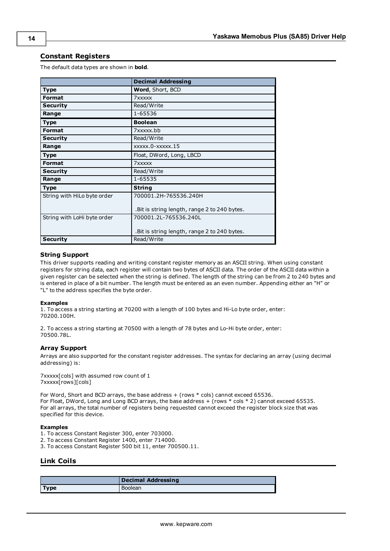# <span id="page-13-0"></span>**Constant Registers**

The default data types are shown in **bold**.

|                             | <b>Decimal Addressing</b>                     |
|-----------------------------|-----------------------------------------------|
| <b>Type</b>                 | Word, Short, BCD                              |
| <b>Format</b>               | 7xxxxx                                        |
| <b>Security</b>             | Read/Write                                    |
| Range                       | 1-65536                                       |
| <b>Type</b>                 | <b>Boolean</b>                                |
| Format                      | 7xxxxx.bb                                     |
| <b>Security</b>             | Read/Write                                    |
| Range                       | xxxxx.0-xxxxx.15                              |
| <b>Type</b>                 | Float, DWord, Long, LBCD                      |
| <b>Format</b>               | 7xxxxx                                        |
| <b>Security</b>             | Read/Write                                    |
| Range                       | 1-65535                                       |
| <b>Type</b>                 | <b>String</b>                                 |
| String with HiLo byte order | 700001.2H-765536.240H                         |
|                             | . Bit is string length, range 2 to 240 bytes. |
| String with LoHi byte order | 700001.2L-765536.240L                         |
|                             | .Bit is string length, range 2 to 240 bytes.  |
| <b>Security</b>             | Read/Write                                    |

## <span id="page-13-2"></span>**String Support**

This driver supports reading and writing constant register memory as an ASCII string. When using constant registers for string data, each register will contain two bytes of ASCII data. The order of the ASCII data within a given register can be selected when the string is defined. The length of the string can be from 2 to 240 bytes and is entered in place of a bit number. The length must be entered as an even number. Appending either an "H" or "L" to the address specifies the byte order.

#### **Examples**

1. To access a string starting at 70200 with a length of 100 bytes and Hi-Lo byte order, enter: 70200.100H.

2. To access a string starting at 70500 with a length of 78 bytes and Lo-Hi byte order, enter: 70500.78L.

#### **Array Support**

Arrays are also supported for the constant register addresses. The syntax for declaring an array (using decimal addressing) is:

7xxxxx[cols] with assumed row count of 1 7xxxxx[rows][cols]

For Word, Short and BCD arrays, the base address + (rows \* cols) cannot exceed 65536. For Float, DWord, Long and Long BCD arrays, the base address + (rows \* cols \* 2) cannot exceed 65535. For all arrays, the total number of registers being requested cannot exceed the register block size that was specified for this device.

#### **Examples**

- 1. To access Constant Register 300, enter 703000.
- 2. To access Constant Register 1400, enter 714000.
- <span id="page-13-1"></span>3. To access Constant Register 500 bit 11, enter 700500.11.

# **Link Coils**

|             | <b>Decimal Addressing</b> |
|-------------|---------------------------|
| <b>Type</b> | <b>Boolean</b>            |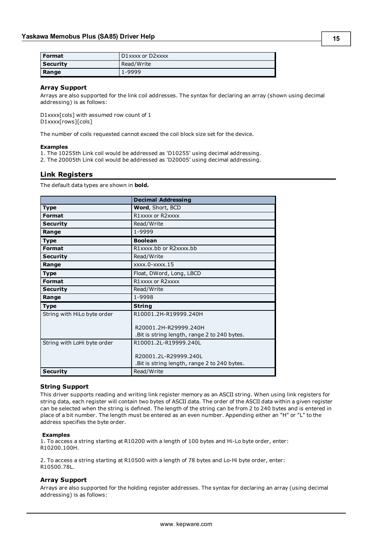| l Format        | D1xxxx or D2xxxx |
|-----------------|------------------|
| <b>Security</b> | Read/Write       |
| Range           | 1-9999           |

#### **Array Support**

Arrays are also supported for the link coil addresses. The syntax for declaring an array (shown using decimal addressing) is as follows:

D1xxxx[cols] with assumed row count of 1 D1xxxx[rows][cols]

The number of coils requested cannot exceed the coil block size set for the device.

#### **Examples**

1. The 10255th Link coil would be addressed as 'D10255' using decimal addressing.

<span id="page-14-0"></span>2. The 20005th Link coil would be addressed as 'D20005' using decimal addressing.

# **Link Registers**

The default data types are shown in **bold.**

|                             | <b>Decimal Addressing</b>                                              |
|-----------------------------|------------------------------------------------------------------------|
| <b>Type</b>                 | Word, Short, BCD                                                       |
| Format                      | R1xxxx or R2xxxx                                                       |
| <b>Security</b>             | Read/Write                                                             |
| Range                       | 1-9999                                                                 |
| <b>Type</b>                 | <b>Boolean</b>                                                         |
| Format                      | R1xxxx.bb or R2xxxx.bb                                                 |
| <b>Security</b>             | Read/Write                                                             |
| Range                       | $xxxx.0$ - $xxx.15$                                                    |
| <b>Type</b>                 | Float, DWord, Long, LBCD                                               |
| Format                      | R1xxxx or R2xxxx                                                       |
| <b>Security</b>             | Read/Write                                                             |
| Range                       | 1-9998                                                                 |
| <b>Type</b>                 | <b>String</b>                                                          |
| String with HiLo byte order | R10001.2H-R19999.240H                                                  |
|                             | R20001.2H-R29999.240H<br>.Bit is string length, range 2 to 240 bytes.  |
| String with LoHi byte order | R10001.2L-R19999.240L                                                  |
|                             | R20001.2L-R29999.240L<br>. Bit is string length, range 2 to 240 bytes. |
| <b>Security</b>             | Read/Write                                                             |

#### **String Support**

This driver supports reading and writing link register memory as an ASCII string. When using link registers for string data, each register will contain two bytes of ASCII data. The order of the ASCII data within a given register can be selected when the string is defined. The length of the string can be from 2 to 240 bytes and is entered in place of a bit number. The length must be entered as an even number. Appending either an "H" or "L" to the address specifies the byte order.

#### **Examples**

1. To access a string starting at R10200 with a length of 100 bytes and Hi-Lo byte order, enter: R10200.100H.

2. To access a string starting at R10500 with a length of 78 bytes and Lo-Hi byte order, enter: R10500.78L.

#### **Array Support**

Arrays are also supported for the holding register addresses. The syntax for declaring an array (using decimal addressing) is as follows: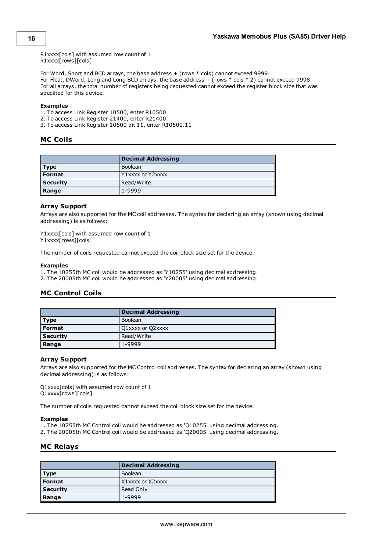R1xxxx[cols] with assumed row count of 1

R1xxxx[rows][cols]

For Word, Short and BCD arrays, the base address + (rows \* cols) cannot exceed 9999. For Float, DWord, Long and Long BCD arrays, the base address + (rows  $*$  cols  $*$  2) cannot exceed 9998. For all arrays, the total number of registers being requested cannot exceed the register block size that was specified for this device.

#### **Examples**

1. To access Link Register 10500, enter R10500.

2. To access Link Register 21400, enter R21400.

<span id="page-15-0"></span>3. To access Link Register 10500 bit 11, enter R10500.11

# **MC Coils**

|                 | <b>Decimal Addressing</b> |
|-----------------|---------------------------|
| Type            | <b>Boolean</b>            |
| <b>Format</b>   | Y1xxxx or Y2xxxx          |
| <b>Security</b> | Read/Write                |
| Range           | 1-9999                    |

#### **Array Support**

Arrays are also supported for the MC coil addresses. The syntax for declaring an array (shown using decimal addressing) is as follows:

Y1xxxx[cols] with assumed row count of 1 Y1xxxx[rows][cols]

The number of coils requested cannot exceed the coil block size set for the device.

#### **Examples**

1. The 10255th MC coil would be addressed as 'Y10255' using decimal addressing.

<span id="page-15-1"></span>2. The 20005th MC coil would be addressed as 'Y20005' using decimal addressing.

# **MC Control Coils**

|                 | <b>Decimal Addressing</b> |
|-----------------|---------------------------|
| l Type          | <b>Boolean</b>            |
| Format          | Q1xxxx or Q2xxxx          |
| <b>Security</b> | Read/Write                |
| Range           | 1-9999                    |

# **Array Support**

Arrays are also supported for the MC Control coil addresses. The syntax for declaring an array (shown using decimal addressing) is as follows:

Q1xxxx[cols] with assumed row count of 1 Q1xxxx[rows][cols]

The number of coils requested cannot exceed the coil block size set for the device.

#### **Examples**

1. The 10255th MC Control coil would be addressed as 'Q10255' using decimal addressing.

<span id="page-15-2"></span>2. The 20005th MC Control coil would be addressed as 'Q20005' using decimal addressing.

# **MC Relays**

|                 | <b>Decimal Addressing</b> |
|-----------------|---------------------------|
| Type            | <b>Boolean</b>            |
| <b>Format</b>   | X1xxxx or X2xxxx          |
| <b>Security</b> | Read Only                 |
| Range           | 1-9999                    |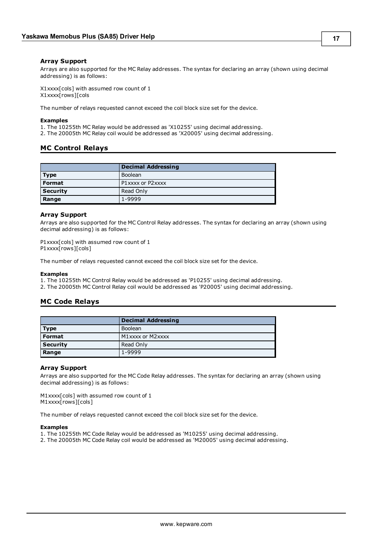## **Array Support**

Arrays are also supported for the MC Relay addresses. The syntax for declaring an array (shown using decimal addressing) is as follows:

X1xxxx[cols] with assumed row count of 1 X1xxxx[rows][cols

The number of relays requested cannot exceed the coil block size set for the device.

#### **Examples**

1. The 10255th MC Relay would be addressed as 'X10255' using decimal addressing.

<span id="page-16-0"></span>2. The 20005th MC Relay coil would be addressed as 'X20005' using decimal addressing.

# **MC Control Relays**

|                 | <b>Decimal Addressing</b> |
|-----------------|---------------------------|
| Type            | <b>Boolean</b>            |
| Format          | P1xxxx or P2xxxx          |
| <b>Security</b> | Read Only                 |
| Range           | 1-9999                    |

#### **Array Support**

Arrays are also supported for the MC Control Relay addresses. The syntax for declaring an array (shown using decimal addressing) is as follows:

P1xxxx[cols] with assumed row count of 1 P1xxxx[rows][cols]

The number of relays requested cannot exceed the coil block size set for the device.

#### **Examples**

1. The 10255th MC Control Relay would be addressed as 'P10255' using decimal addressing.

<span id="page-16-1"></span>2. The 20005th MC Control Relay coil would be addressed as 'P20005' using decimal addressing.

# **MC Code Relays**

|                 | <b>Decimal Addressing</b> |
|-----------------|---------------------------|
| Type            | <b>Boolean</b>            |
| Format          | M1xxxx or M2xxxx          |
| <b>Security</b> | Read Only                 |
| Range           | 1-9999                    |

#### **Array Support**

Arrays are also supported for the MC Code Relay addresses. The syntax for declaring an array (shown using decimal addressing) is as follows:

M1xxxx[cols] with assumed row count of 1 M1xxxx[rows][cols]

The number of relays requested cannot exceed the coil block size set for the device.

#### **Examples**

- 1. The 10255th MC Code Relay would be addressed as 'M10255' using decimal addressing.
- 2. The 20005th MC Code Relay coil would be addressed as 'M20005' using decimal addressing.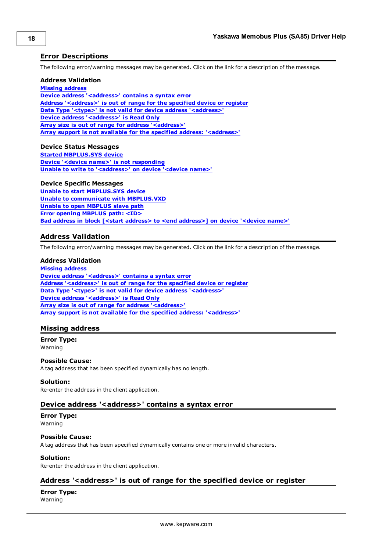# <span id="page-17-0"></span>**Error Descriptions**

The following error/warning messages may be generated. Click on the link for a description of the message.

## **Address Validation**

**Missing [address](#page-17-2)**

**Device address ['<address>'](#page-17-3) contains a syntax error Address ['<address>'](#page-17-4) is out of range for the specified device or register Data Type '<type>' is not valid for device address ['<address>'](#page-18-0) Device address ['<address>'](#page-18-1) is Read Only Array size is out of range for address ['<address>'](#page-18-2) Array support is not available for the specified address: ['<address>'](#page-18-3)**

#### **Device Status Messages**

**Started [MBPLUS.SYS](#page-19-0) device Device '<device name>' is not [responding](#page-19-1) Unable to write to ['<address>'](#page-19-2) on device '<device name>'**

# **Device Specific Messages**

**Unable to start [MBPLUS.SYS](#page-19-4) device Unable to [communicate](#page-20-0) with MBPLUS.VXD Unable to open [MBPLUS](#page-20-1) slave path Error opening [MBPLUS](#page-20-2) path: <ID> Bad address in block [<start address> to <end [address>\]](#page-20-3) on device '<device name>'**

# <span id="page-17-1"></span>**Address Validation**

The following error/warning messages may be generated. Click on the link for a description of the message.

#### **Address Validation**

**Missing [address](#page-17-2) Device address ['<address>'](#page-17-3) contains a syntax error Address ['<address>'](#page-17-4) is out of range for the specified device or register Data Type '<type>' is not valid for device address ['<address>'](#page-18-0) Device address ['<address>'](#page-18-1) is Read Only Array size is out of range for address ['<address>'](#page-18-2) Array support is not available for the specified address: ['<address>'](#page-18-3)**

# <span id="page-17-2"></span>**Missing address**

**Error Type:** Warning

# **Possible Cause:**

A tag address that has been specified dynamically has no length.

#### **Solution:**

<span id="page-17-3"></span>Re-enter the address in the client application.

# **Device address '<address>' contains a syntax error**

#### **Error Type:** Warning

# **Possible Cause:**

A tag address that has been specified dynamically contains one or more invalid characters.

# **Solution:**

<span id="page-17-4"></span>Re-enter the address in the client application.

# **Address '<address>' is out of range for the specified device or register**

# **Error Type:**

Warning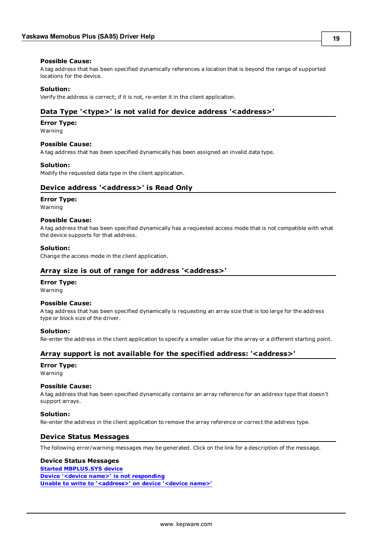#### **Possible Cause:**

A tag address that has been specified dynamically references a location that is beyond the range of supported locations for the device.

## **Solution:**

<span id="page-18-0"></span>Verify the address is correct; if it is not, re-enter it in the client application.

# **Data Type '<type>' is not valid for device address '<address>'**

#### **Error Type:**

Warning

# **Possible Cause:**

A tag address that has been specified dynamically has been assigned an invalid data type.

#### **Solution:**

<span id="page-18-1"></span>Modify the requested data type in the client application.

# **Device address '<address>' is Read Only**

#### **Error Type:**

Warning

#### **Possible Cause:**

A tag address that has been specified dynamically has a requested access mode that is not compatible with what the device supports for that address.

#### **Solution:**

<span id="page-18-2"></span>Change the access mode in the client application.

#### **Array size is out of range for address '<address>'**

# **Error Type:**

Warning

# **Possible Cause:**

A tag address that has been specified dynamically is requesting an array size that is too large for the address type or block size of the driver.

# **Solution:**

<span id="page-18-3"></span>Re-enter the address in the client application to specify a smaller value for the array or a different starting point.

# **Array support is not available for the specified address: '<address>'**

# **Error Type:**

Warning

### **Possible Cause:**

A tag address that has been specified dynamically contains an array reference for an address type that doesn't support arrays.

#### **Solution:**

<span id="page-18-4"></span>Re-enter the address in the client application to remove the array reference or correct the address type.

# **Device Status Messages**

The following error/warning messages may be generated. Click on the link for a description of the message.

#### **Device Status Messages**

**Started [MBPLUS.SYS](#page-19-0) device Device '<device name>' is not [responding](#page-19-1) Unable to write to ['<address>'](#page-19-2) on device '<device name>'**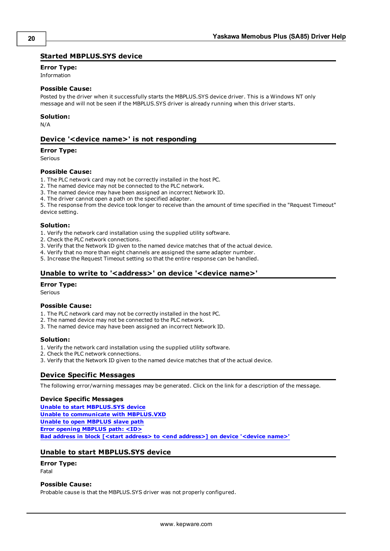# <span id="page-19-0"></span>**Started MBPLUS.SYS device**

# **Error Type:**

Information

#### **Possible Cause:**

Posted by the driver when it successfully starts the MBPLUS.SYS device driver. This is a Windows NT only message and will not be seen if the MBPLUS.SYS driver is already running when this driver starts.

#### **Solution:**

<span id="page-19-1"></span>N/A

# **Device '<device name>' is not responding**

#### **Error Type:**

Serious

#### **Possible Cause:**

- 1. The PLC network card may not be correctly installed in the host PC.
- 2. The named device may not be connected to the PLC network.
- 3. The named device may have been assigned an incorrect Network ID.
- 4. The driver cannot open a path on the specified adapter.

5. The response from the device took longer to receive than the amount of time specified in the "Request Timeout" device setting.

#### **Solution:**

- 1. Verify the network card installation using the supplied utility software.
- 2. Check the PLC network connections.
- 3. Verify that the Network ID given to the named device matches that of the actual device.
- 4. Verify that no more than eight channels are assigned the same adapter number.
- <span id="page-19-2"></span>5. Increase the Request Timeout setting so that the entire response can be handled.

# **Unable to write to '<address>' on device '<device name>'**

#### **Error Type:**

Serious

#### **Possible Cause:**

- 1. The PLC network card may not be correctly installed in the host PC.
- 2. The named device may not be connected to the PLC network.
- 3. The named device may have been assigned an incorrect Network ID.

#### **Solution:**

- 1. Verify the network card installation using the supplied utility software.
- 2. Check the PLC network connections.
- <span id="page-19-3"></span>3. Verify that the Network ID given to the named device matches that of the actual device.

# **Device Specific Messages**

The following error/warning messages may be generated. Click on the link for a description of the message.

#### **Device Specific Messages**

**Unable to start [MBPLUS.SYS](#page-19-4) device Unable to [communicate](#page-20-0) with MBPLUS.VXD Unable to open [MBPLUS](#page-20-1) slave path Error opening [MBPLUS](#page-20-2) path: <ID> Bad address in block [<start address> to <end [address>\]](#page-20-3) on device '<device name>'**

# <span id="page-19-4"></span>**Unable to start MBPLUS.SYS device**

## **Error Type:**

Fatal

#### **Possible Cause:**

Probable cause is that the MBPLUS.SYS driver was not properly configured.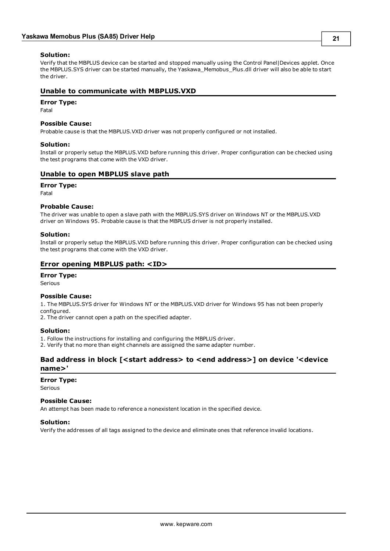# **Solution:**

Verify that the MBPLUS device can be started and stopped manually using the Control Panel|Devices applet. Once the MBPLUS.SYS driver can be started manually, the Yaskawa\_Memobus\_Plus.dll driver will also be able to start the driver.

# <span id="page-20-0"></span>**Unable to communicate with MBPLUS.VXD**

# **Error Type:**

Fatal

# **Possible Cause:**

Probable cause is that the MBPLUS.VXD driver was not properly configured or not installed.

# **Solution:**

Install or properly setup the MBPLUS.VXD before running this driver. Proper configuration can be checked using the test programs that come with the VXD driver.

# <span id="page-20-1"></span>**Unable to open MBPLUS slave path**

# **Error Type:**

Fatal

# **Probable Cause:**

The driver was unable to open a slave path with the MBPLUS.SYS driver on Windows NT or the MBPLUS.VXD driver on Windows 95. Probable cause is that the MBPLUS driver is not properly installed.

# **Solution:**

Install or properly setup the MBPLUS.VXD before running this driver. Proper configuration can be checked using the test programs that come with the VXD driver.

# <span id="page-20-2"></span>**Error opening MBPLUS path: <ID>**

# **Error Type:**

Serious

# **Possible Cause:**

1. The MBPLUS.SYS driver for Windows NT or the MBPLUS.VXD driver for Windows 95 has not been properly configured.

2. The driver cannot open a path on the specified adapter.

# **Solution:**

1. Follow the instructions for installing and configuring the MBPLUS driver.

<span id="page-20-3"></span>2. Verify that no more than eight channels are assigned the same adapter number.

# **Bad address in block [<start address> to <end address>] on device '<device name>'**

# **Error Type:**

Serious

# **Possible Cause:**

An attempt has been made to reference a nonexistent location in the specified device.

# **Solution:**

Verify the addresses of all tags assigned to the device and eliminate ones that reference invalid locations.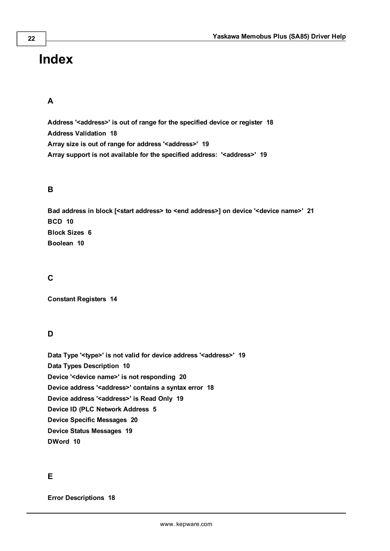# <span id="page-21-0"></span>**Index**

# **A**

**Address '<address>' is out of range for the specified device or register [18](#page-17-4) Address Validation [18](#page-17-1) Array size is out of range for address '<address>' [19](#page-18-2) Array support is not available for the specified address: '<address>' [19](#page-18-3)**

# **B**

**Bad address in block [<start address> to <end address>] on device '<device name>' [21](#page-20-3) BCD [10](#page-9-1) Block Sizes [6](#page-5-0) Boolean [10](#page-9-2)**

# **C**

**Constant Registers [14](#page-13-0)**

# **D**

**Data Type '<type>' is not valid for device address '<address>' [19](#page-18-0) Data Types Description [10](#page-9-0) Device '<device name>' is not responding [20](#page-19-1) Device address '< address>' contains a syntax error [18](#page-17-3) Device address '<address>' is Read Only [19](#page-18-1) Device ID (PLC Network Address [5](#page-4-0) Device Specific Messages [20](#page-19-3) Device Status Messages [19](#page-18-4) DWord [10](#page-9-3)**

# **E**

**Error Descriptions [18](#page-17-0)**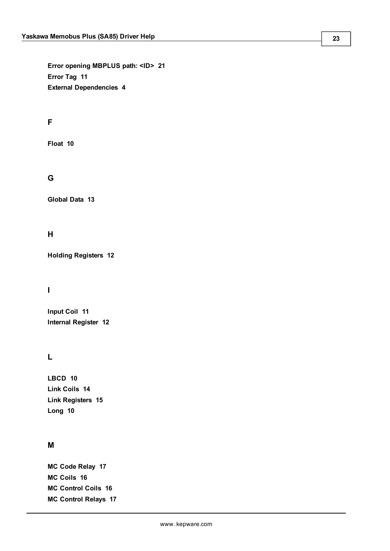**Error opening MBPLUS path: <ID> [21](#page-20-2) Error Tag [11](#page-10-0) External Dependencies [4](#page-3-2)**

# **F**

**Float [10](#page-9-4)**

# **G**

**Global Data [13](#page-12-0)**

# **H**

**Holding Registers [12](#page-11-1)**

# **I**

**Input Coil [11](#page-10-2) Internal Register [12](#page-11-0)**

# **L**

**LBCD [10](#page-9-5) Link Coils [14](#page-13-1) Link Registers [15](#page-14-0) Long [10](#page-9-6)**

# **M**

**MC Code Relay [17](#page-16-1) MC Coils [16](#page-15-0) MC Control Coils [16](#page-15-1) MC Control Relays [17](#page-16-0)**